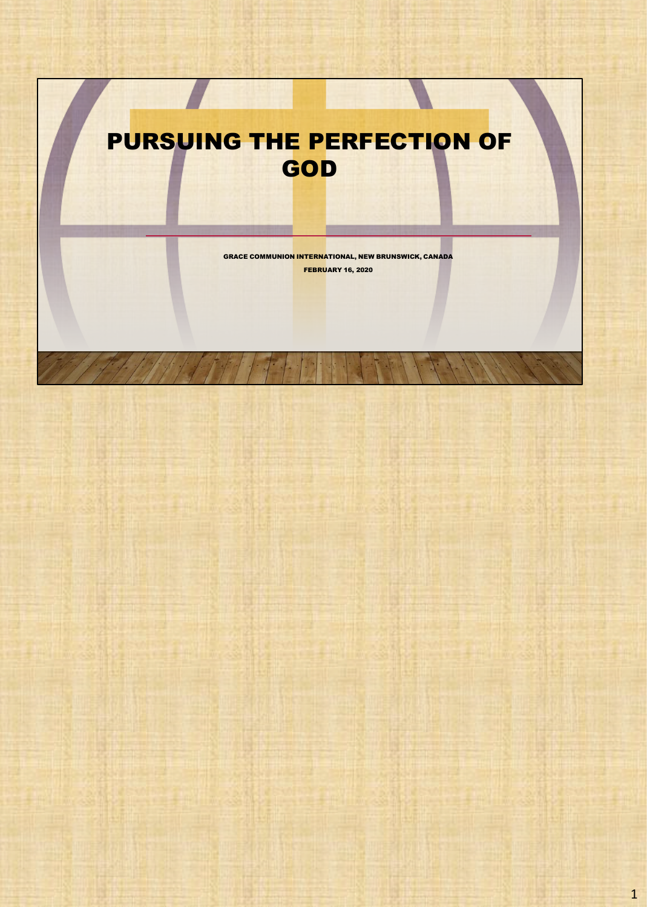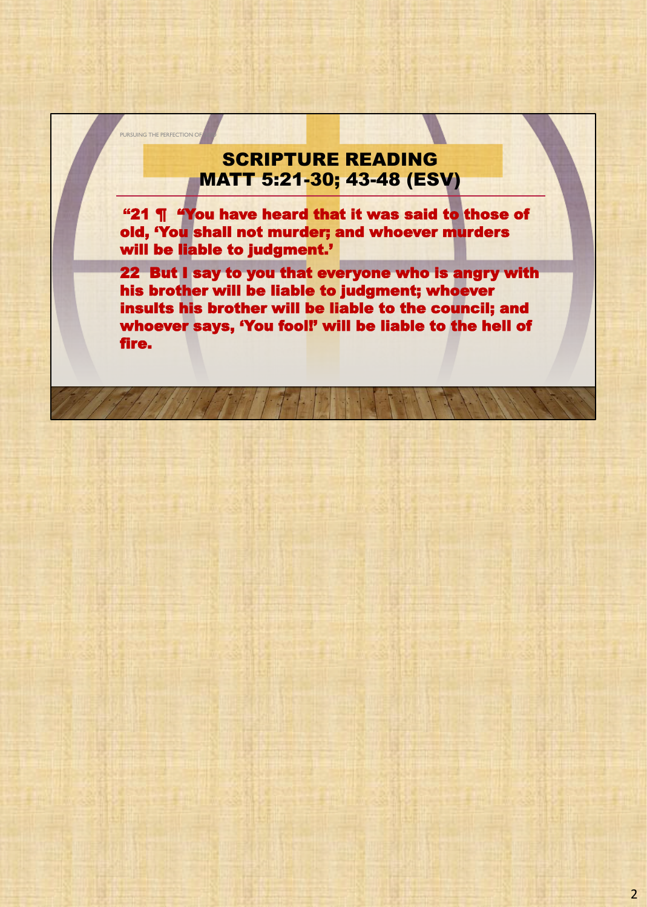## SCRIPTURE READING MATT 5:21-30; 43-48 (ESV)

PURSUING THE PERFECTION OF

"21 ¶ "You have heard that it was said to those of old, 'You shall not murder; and whoever murders will be liable to judgment.'

22 But I say to you that everyone who is angry with his brother will be liable to judgment; whoever insults his brother will be liable to the council; and whoever says, 'You fool!' will be liable to the hell of fire.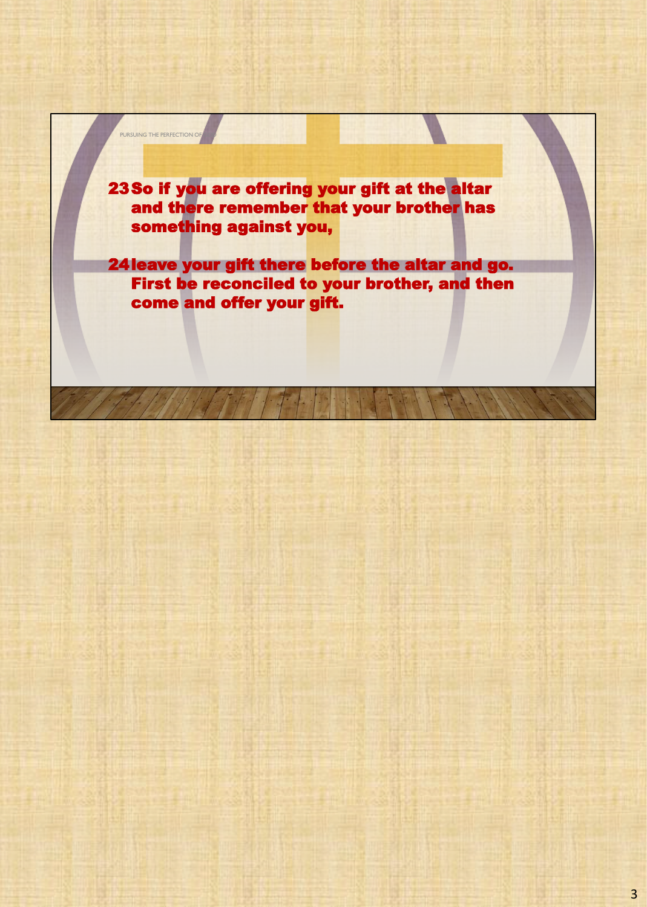23So if you are offering your gift at the altar and there remember that your brother has something against you,

PURSUING THE PERFECTION OF

24leave your gift there before the altar and go. First be reconciled to your brother, and then come and offer your gift.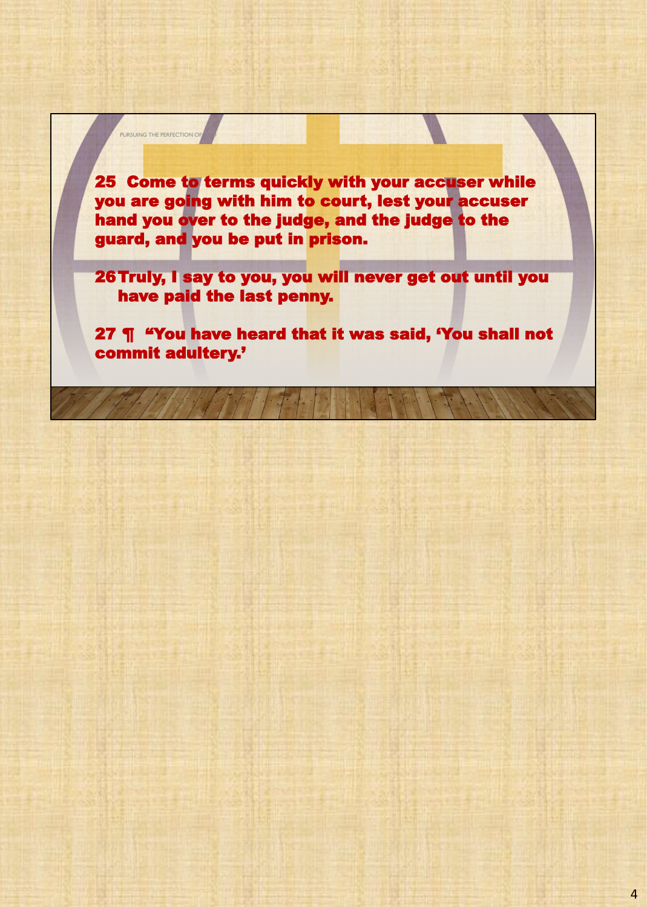25 Come to terms quickly with your accuser while you are going with him to court, lest your accuser hand you over to the judge, and the judge to the guard, and you be put in prison.

PURSUING THE PERFECTION OF

26Truly, I say to you, you will never get out until you have paid the last penny.

27 ¶ "You have heard that it was said, 'You shall not commit adultery.'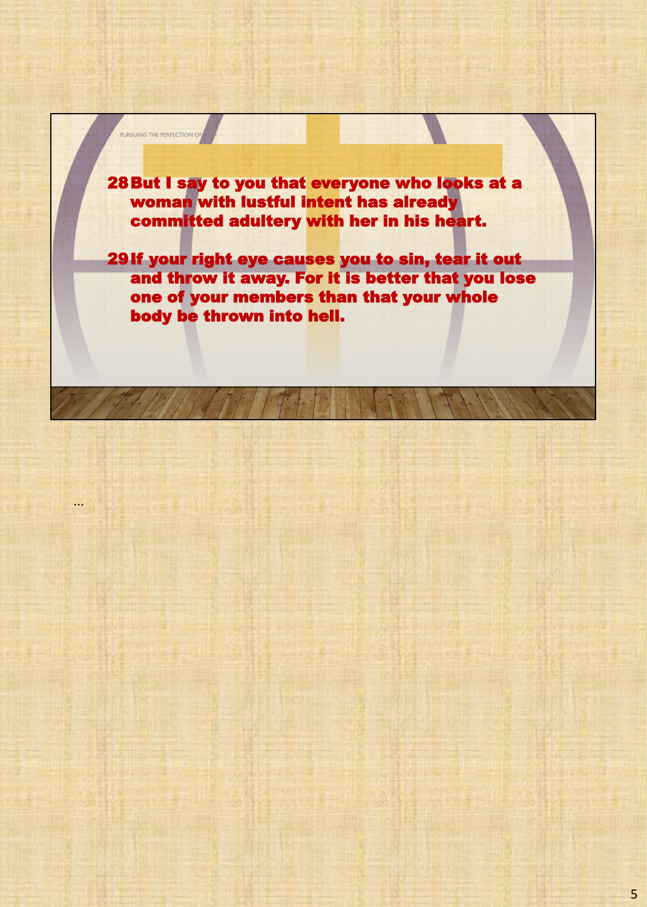28But I say to you that everyone who looks at a woman with lustful intent has already committed adultery with her in his heart.

PURSUING THE PERFECTION OF

...

29If your right eye causes you to sin, tear it out and throw it away. For it is better that you lose one of your members than that your whole body be thrown into hell.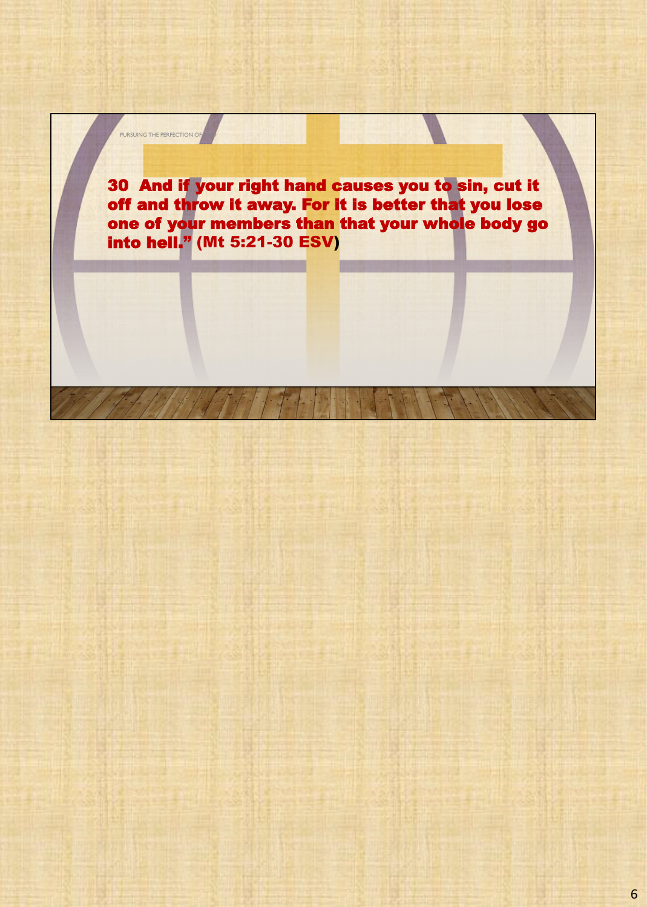30 And if your right hand causes you to sin, cut it off and throw it away. For it is better that you lose one of your members than that your whole body go into hell." (Mt 5:21-30 ESV)

PURSUING THE PERFECTION OF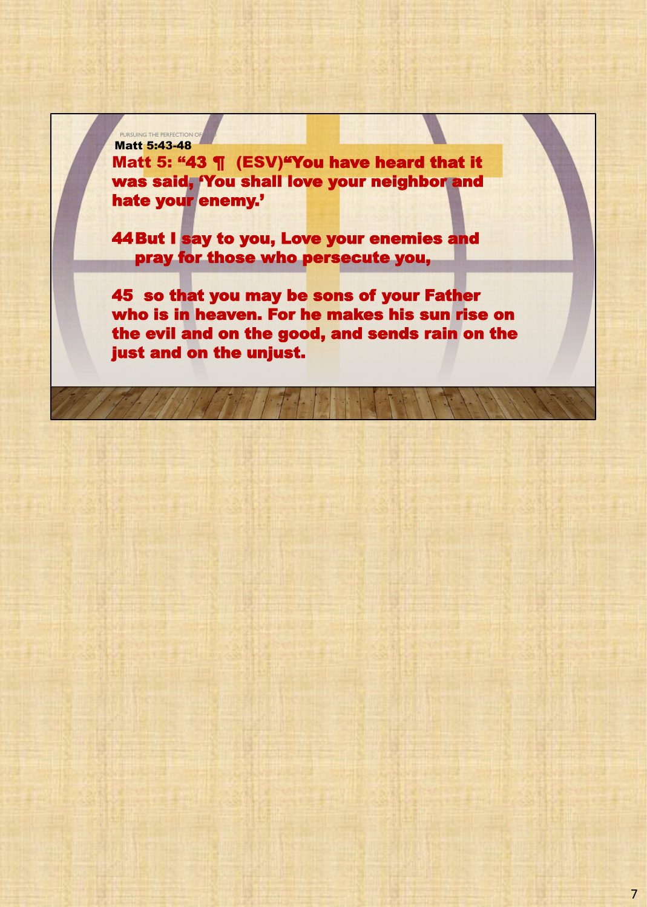Matt 5:43-48 Matt 5: "43 ¶ (ESV)"You have heard that it was said, 'You shall love your neighbor and hate your enemy.'

PURSUING THE PERFECTION OF

44But I say to you, Love your enemies and pray for those who persecute you,

45 so that you may be sons of your Father who is in heaven. For he makes his sun rise on the evil and on the good, and sends rain on the just and on the unjust.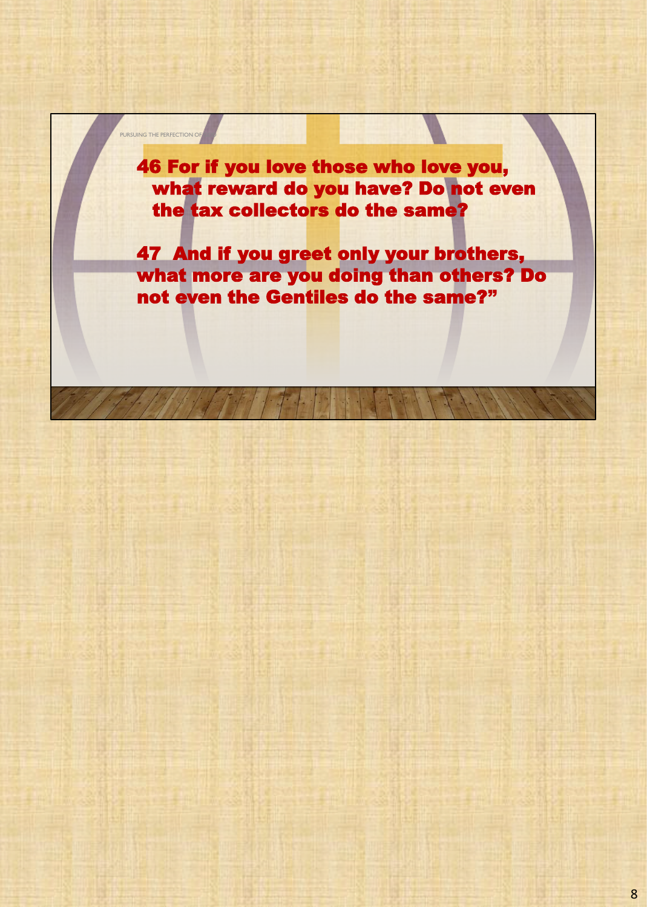46 For if you love those who love you, what reward do you have? Do not even the tax collectors do the same?

PURSUING THE PERFECTION OF

47 And if you greet only your brothers, what more are you doing than others? Do not even the Gentiles do the same?"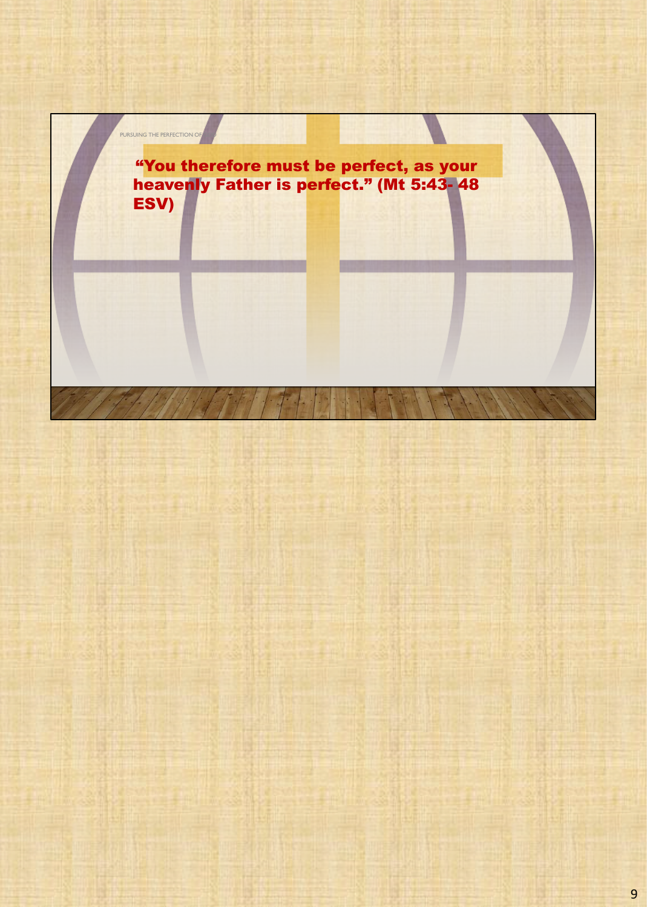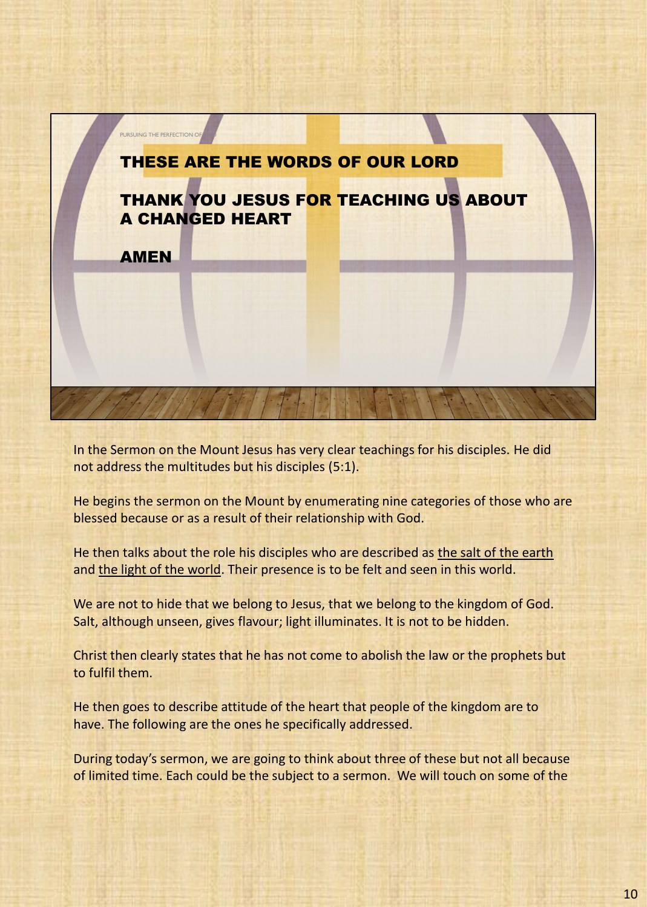

In the Sermon on the Mount Jesus has very clear teachings for his disciples. He did not address the multitudes but his disciples (5:1).

He begins the sermon on the Mount by enumerating nine categories of those who are blessed because or as a result of their relationship with God.

He then talks about the role his disciples who are described as the salt of the earth and the light of the world. Their presence is to be felt and seen in this world.

We are not to hide that we belong to Jesus, that we belong to the kingdom of God. Salt, although unseen, gives flavour; light illuminates. It is not to be hidden.

Christ then clearly states that he has not come to abolish the law or the prophets but to fulfil them.

He then goes to describe attitude of the heart that people of the kingdom are to have. The following are the ones he specifically addressed.

During today's sermon, we are going to think about three of these but not all because of limited time. Each could be the subject to a sermon. We will touch on some of the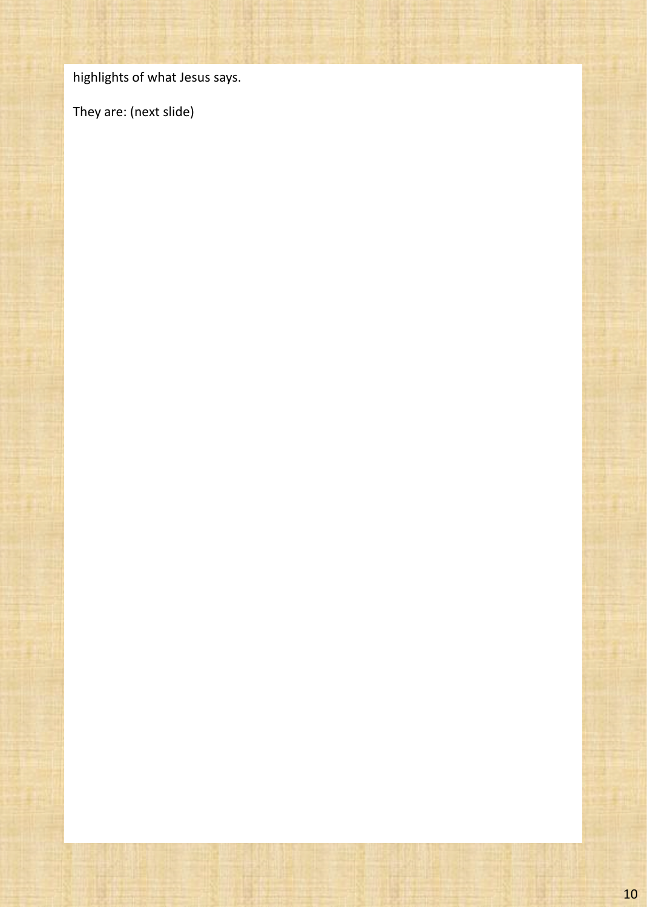highlights of what Jesus says.

They are: (next slide)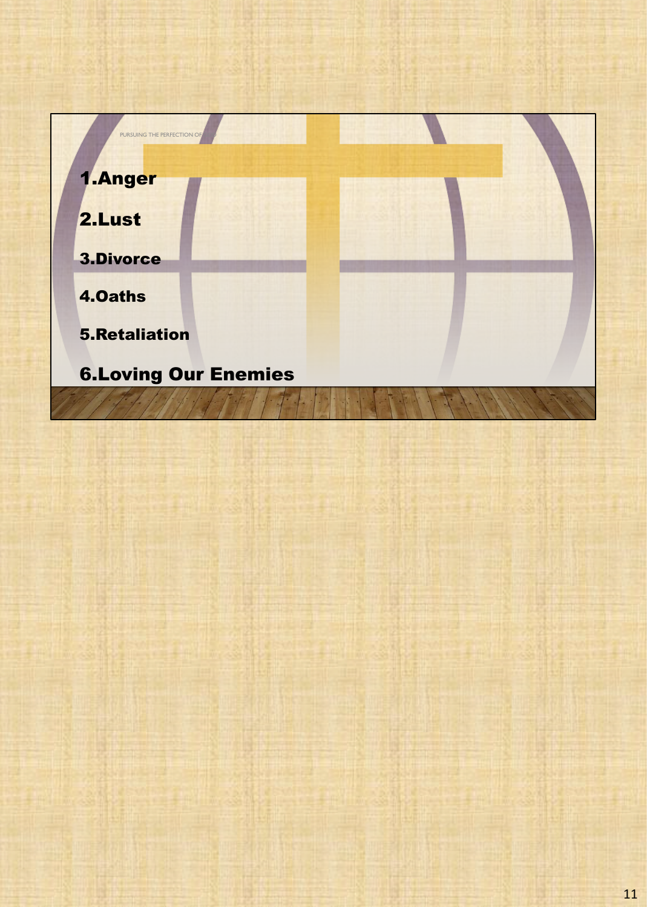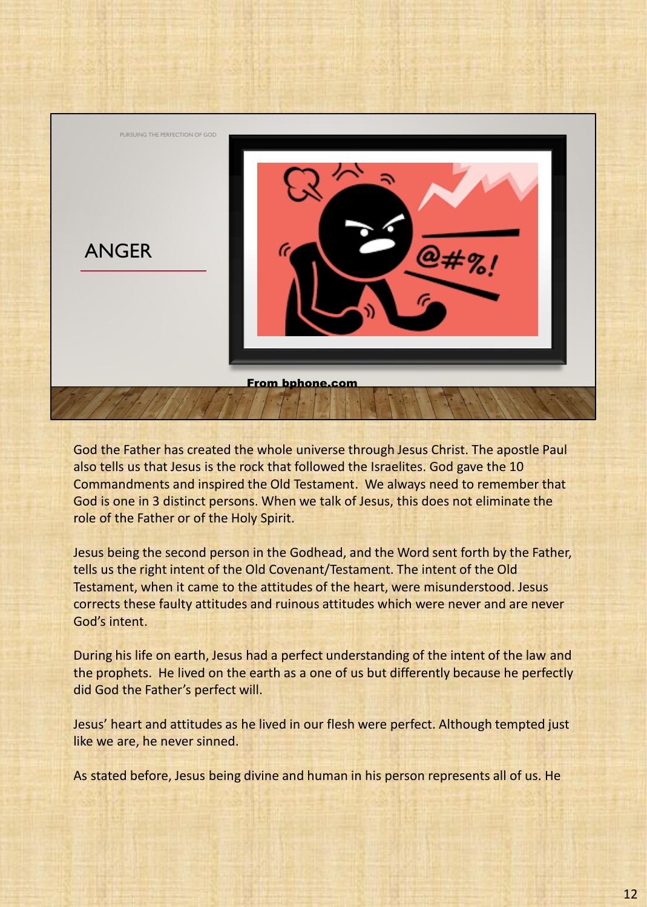

God the Father has created the whole universe through Jesus Christ. The apostle Paul also tells us that Jesus is the rock that followed the Israelites. God gave the 10 Commandments and inspired the Old Testament. We always need to remember that God is one in 3 distinct persons. When we talk of Jesus, this does not eliminate the role of the Father or of the Holy Spirit.

Jesus being the second person in the Godhead, and the Word sent forth by the Father, tells us the right intent of the Old Covenant/Testament. The intent of the Old Testament, when it came to the attitudes of the heart, were misunderstood. Jesus corrects these faulty attitudes and ruinous attitudes which were never and are never God's intent.

During his life on earth, Jesus had a perfect understanding of the intent of the law and the prophets. He lived on the earth as a one of us but differently because he perfectly did God the Father's perfect will.

Jesus' heart and attitudes as he lived in our flesh were perfect. Although tempted just like we are, he never sinned.

As stated before, Jesus being divine and human in his person represents all of us. He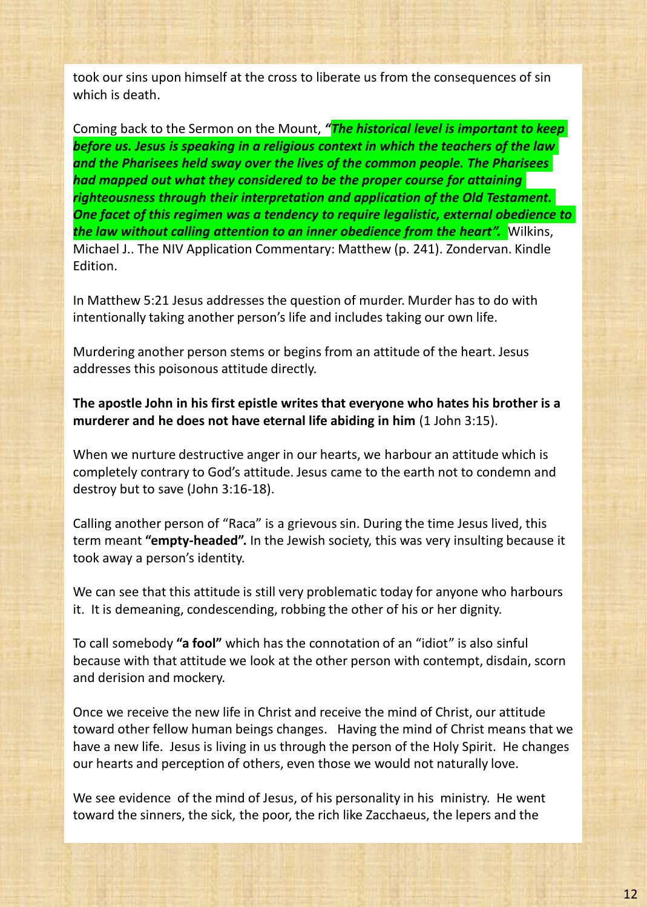took our sins upon himself at the cross to liberate us from the consequences of sin which is death.

Coming back to the Sermon on the Mount, *"The historical level is important to keep before us. Jesus is speaking in a religious context in which the teachers of the law and the Pharisees held sway over the lives of the common people. The Pharisees had mapped out what they considered to be the proper course for attaining righteousness through their interpretation and application of the Old Testament. One facet of this regimen was a tendency to require legalistic, external obedience to the law without calling attention to an inner obedience from the heart".* Wilkins, Michael J.. The NIV Application Commentary: Matthew (p. 241). Zondervan. Kindle Edition.

In Matthew 5:21 Jesus addresses the question of murder. Murder has to do with intentionally taking another person's life and includes taking our own life.

Murdering another person stems or begins from an attitude of the heart. Jesus addresses this poisonous attitude directly.

**The apostle John in his first epistle writes that everyone who hates his brother is a murderer and he does not have eternal life abiding in him** (1 John 3:15).

When we nurture destructive anger in our hearts, we harbour an attitude which is completely contrary to God's attitude. Jesus came to the earth not to condemn and destroy but to save (John 3:16-18).

Calling another person of "Raca" is a grievous sin. During the time Jesus lived, this term meant **"empty-headed".** In the Jewish society, this was very insulting because it took away a person's identity.

We can see that this attitude is still very problematic today for anyone who harbours it. It is demeaning, condescending, robbing the other of his or her dignity.

To call somebody **"a fool"** which has the connotation of an "idiot" is also sinful because with that attitude we look at the other person with contempt, disdain, scorn and derision and mockery.

Once we receive the new life in Christ and receive the mind of Christ, our attitude toward other fellow human beings changes. Having the mind of Christ means that we have a new life. Jesus is living in us through the person of the Holy Spirit. He changes our hearts and perception of others, even those we would not naturally love.

We see evidence of the mind of Jesus, of his personality in his ministry. He went toward the sinners, the sick, the poor, the rich like Zacchaeus, the lepers and the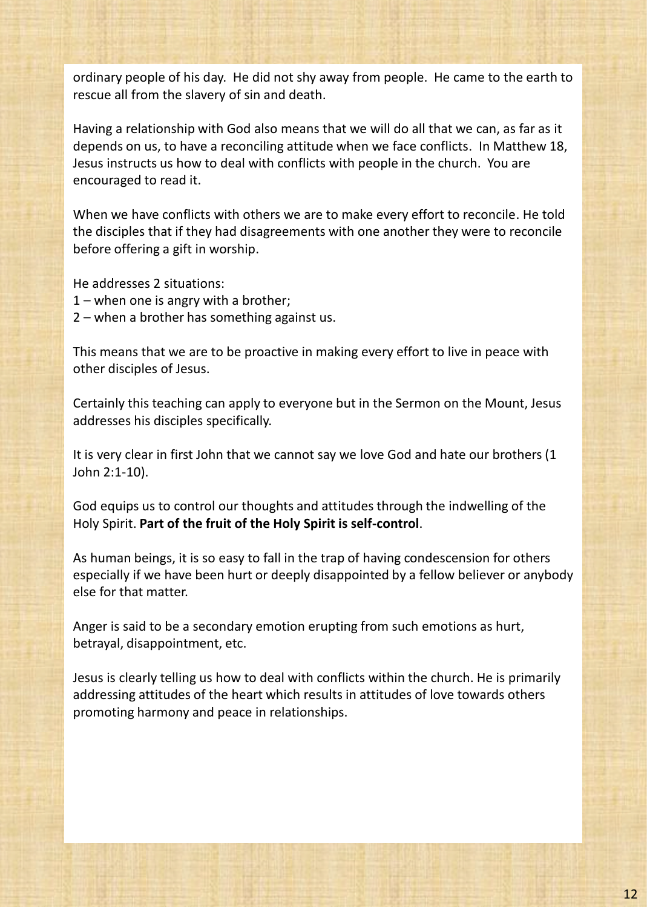ordinary people of his day. He did not shy away from people. He came to the earth to rescue all from the slavery of sin and death.

Having a relationship with God also means that we will do all that we can, as far as it depends on us, to have a reconciling attitude when we face conflicts. In Matthew 18, Jesus instructs us how to deal with conflicts with people in the church. You are encouraged to read it.

When we have conflicts with others we are to make every effort to reconcile. He told the disciples that if they had disagreements with one another they were to reconcile before offering a gift in worship.

He addresses 2 situations:

- 1 when one is angry with a brother;
- 2 when a brother has something against us.

This means that we are to be proactive in making every effort to live in peace with other disciples of Jesus.

Certainly this teaching can apply to everyone but in the Sermon on the Mount, Jesus addresses his disciples specifically.

It is very clear in first John that we cannot say we love God and hate our brothers (1 John 2:1-10).

God equips us to control our thoughts and attitudes through the indwelling of the Holy Spirit. **Part of the fruit of the Holy Spirit is self-control**.

As human beings, it is so easy to fall in the trap of having condescension for others especially if we have been hurt or deeply disappointed by a fellow believer or anybody else for that matter.

Anger is said to be a secondary emotion erupting from such emotions as hurt, betrayal, disappointment, etc.

Jesus is clearly telling us how to deal with conflicts within the church. He is primarily addressing attitudes of the heart which results in attitudes of love towards others promoting harmony and peace in relationships.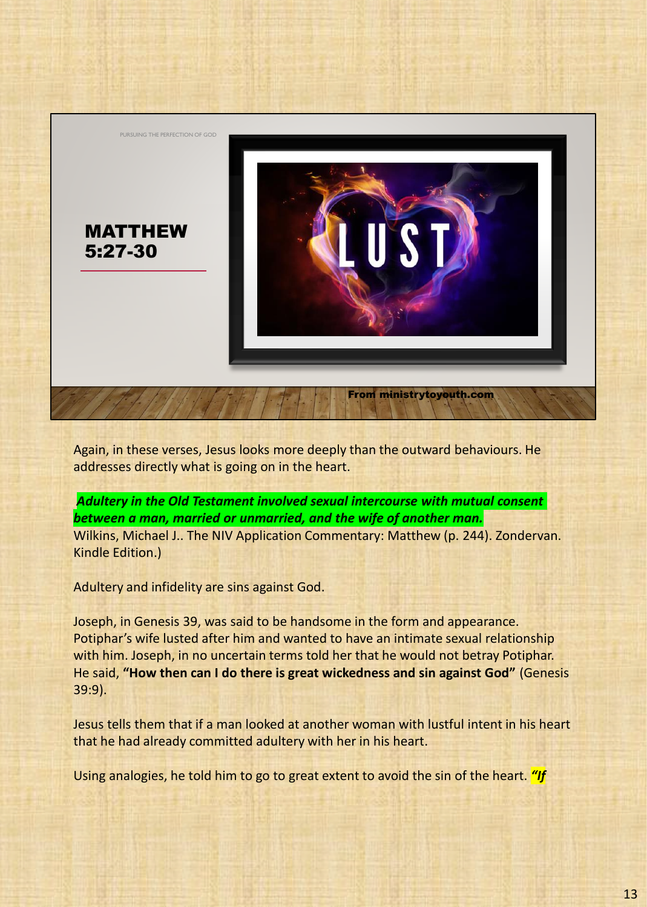

Again, in these verses, Jesus looks more deeply than the outward behaviours. He addresses directly what is going on in the heart.

*Adultery in the Old Testament involved sexual intercourse with mutual consent between a man, married or unmarried, and the wife of another man.* Wilkins, Michael J.. The NIV Application Commentary: Matthew (p. 244). Zondervan.

Kindle Edition.)

Adultery and infidelity are sins against God.

Joseph, in Genesis 39, was said to be handsome in the form and appearance. Potiphar's wife lusted after him and wanted to have an intimate sexual relationship with him. Joseph, in no uncertain terms told her that he would not betray Potiphar. He said, **"How then can I do there is great wickedness and sin against God"** (Genesis 39:9).

Jesus tells them that if a man looked at another woman with lustful intent in his heart that he had already committed adultery with her in his heart.

Using analogies, he told him to go to great extent to avoid the sin of the heart. *"If*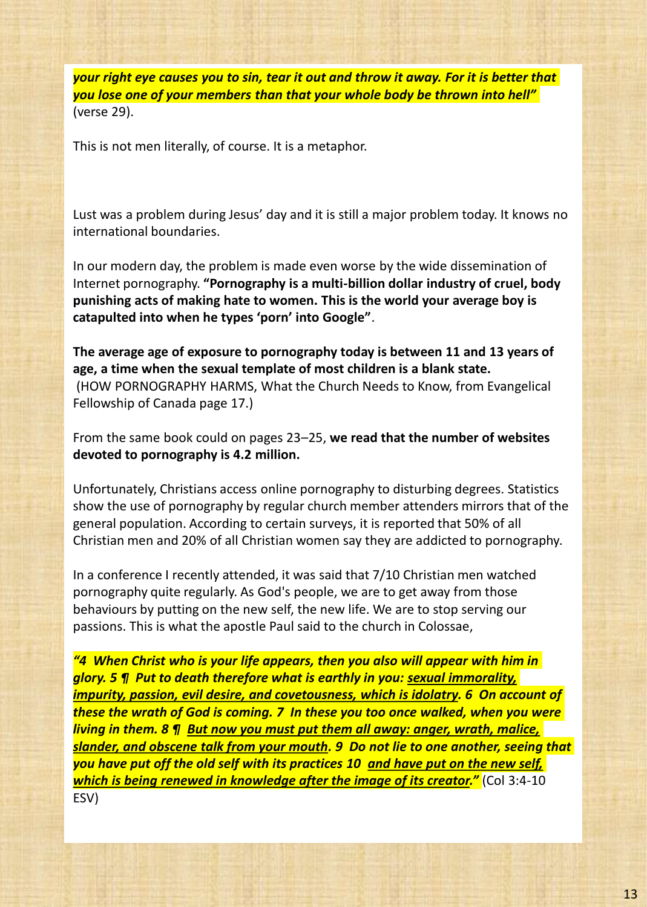*your right eye causes you to sin, tear it out and throw it away. For it is better that you lose one of your members than that your whole body be thrown into hell"*  (verse 29).

This is not men literally, of course. It is a metaphor.

Lust was a problem during Jesus' day and it is still a major problem today. It knows no international boundaries.

In our modern day, the problem is made even worse by the wide dissemination of Internet pornography. **"Pornography is a multi-billion dollar industry of cruel, body punishing acts of making hate to women. This is the world your average boy is catapulted into when he types 'porn' into Google"**.

**The average age of exposure to pornography today is between 11 and 13 years of age, a time when the sexual template of most children is a blank state.** (HOW PORNOGRAPHY HARMS, What the Church Needs to Know, from Evangelical Fellowship of Canada page 17.)

From the same book could on pages 23–25, **we read that the number of websites devoted to pornography is 4.2 million.**

Unfortunately, Christians access online pornography to disturbing degrees. Statistics show the use of pornography by regular church member attenders mirrors that of the general population. According to certain surveys, it is reported that 50% of all Christian men and 20% of all Christian women say they are addicted to pornography.

In a conference I recently attended, it was said that 7/10 Christian men watched pornography quite regularly. As God's people, we are to get away from those behaviours by putting on the new self, the new life. We are to stop serving our passions. This is what the apostle Paul said to the church in Colossae,

*"4 When Christ who is your life appears, then you also will appear with him in glory. 5 ¶ Put to death therefore what is earthly in you: sexual immorality, impurity, passion, evil desire, and covetousness, which is idolatry. 6 On account of these the wrath of God is coming. 7 In these you too once walked, when you were living in them. 8 ¶ But now you must put them all away: anger, wrath, malice, slander, and obscene talk from your mouth. 9 Do not lie to one another, seeing that you have put off the old self with its practices 10 and have put on the new self, which is being renewed in knowledge after the image of its creator."* **(Col 3:4-10** ESV)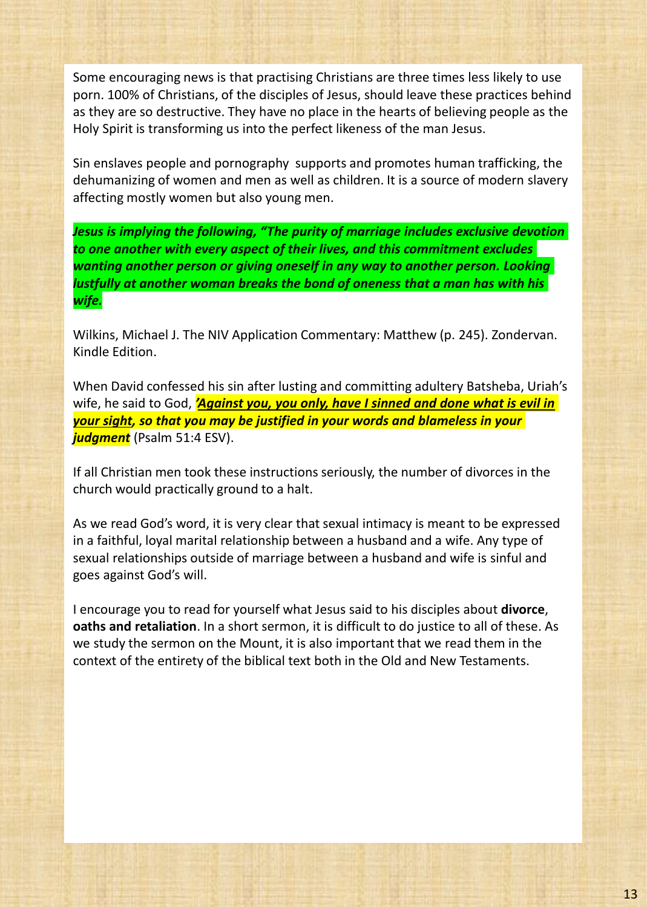Some encouraging news is that practising Christians are three times less likely to use porn. 100% of Christians, of the disciples of Jesus, should leave these practices behind as they are so destructive. They have no place in the hearts of believing people as the Holy Spirit is transforming us into the perfect likeness of the man Jesus.

Sin enslaves people and pornography supports and promotes human trafficking, the dehumanizing of women and men as well as children. It is a source of modern slavery affecting mostly women but also young men.

*Jesus is implying the following, "The purity of marriage includes exclusive devotion to one another with every aspect of their lives, and this commitment excludes wanting another person or giving oneself in any way to another person. Looking lustfully at another woman breaks the bond of oneness that a man has with his wife.*

Wilkins, Michael J. The NIV Application Commentary: Matthew (p. 245). Zondervan. Kindle Edition.

When David confessed his sin after lusting and committing adultery Batsheba, Uriah's wife, he said to God, *'Against you, you only, have I sinned and done what is evil in your sight, so that you may be justified in your words and blameless in your judgment* (Psalm 51:4 ESV).

If all Christian men took these instructions seriously, the number of divorces in the church would practically ground to a halt.

As we read God's word, it is very clear that sexual intimacy is meant to be expressed in a faithful, loyal marital relationship between a husband and a wife. Any type of sexual relationships outside of marriage between a husband and wife is sinful and goes against God's will.

I encourage you to read for yourself what Jesus said to his disciples about **divorce**, **oaths and retaliation**. In a short sermon, it is difficult to do justice to all of these. As we study the sermon on the Mount, it is also important that we read them in the context of the entirety of the biblical text both in the Old and New Testaments.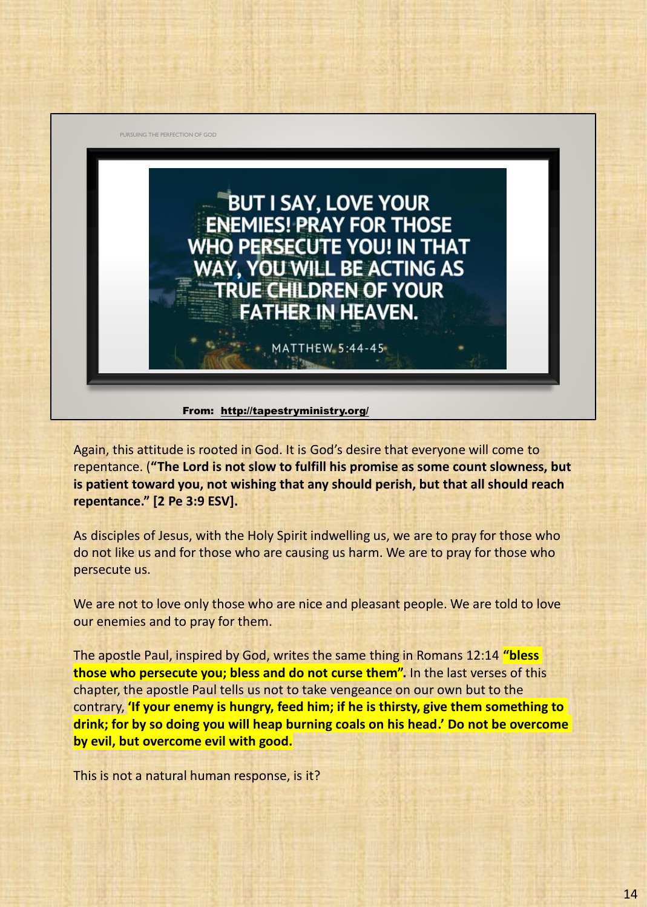PURSUING THE PERFECTION OF GOD



## From: http://tapestryministry.org/

Again, this attitude is rooted in God. It is God's desire that everyone will come to repentance. (**"The Lord is not slow to fulfill his promise as some count slowness, but is patient toward you, not wishing that any should perish, but that all should reach repentance." [2 Pe 3:9 ESV].**

As disciples of Jesus, with the Holy Spirit indwelling us, we are to pray for those who do not like us and for those who are causing us harm. We are to pray for those who persecute us.

We are not to love only those who are nice and pleasant people. We are told to love our enemies and to pray for them.

The apostle Paul, inspired by God, writes the same thing in Romans 12:14 **"bless those who persecute you; bless and do not curse them".** In the last verses of this chapter, the apostle Paul tells us not to take vengeance on our own but to the contrary, **'If your enemy is hungry, feed him; if he is thirsty, give them something to drink; for by so doing you will heap burning coals on his head.' Do not be overcome by evil, but overcome evil with good.**

This is not a natural human response, is it?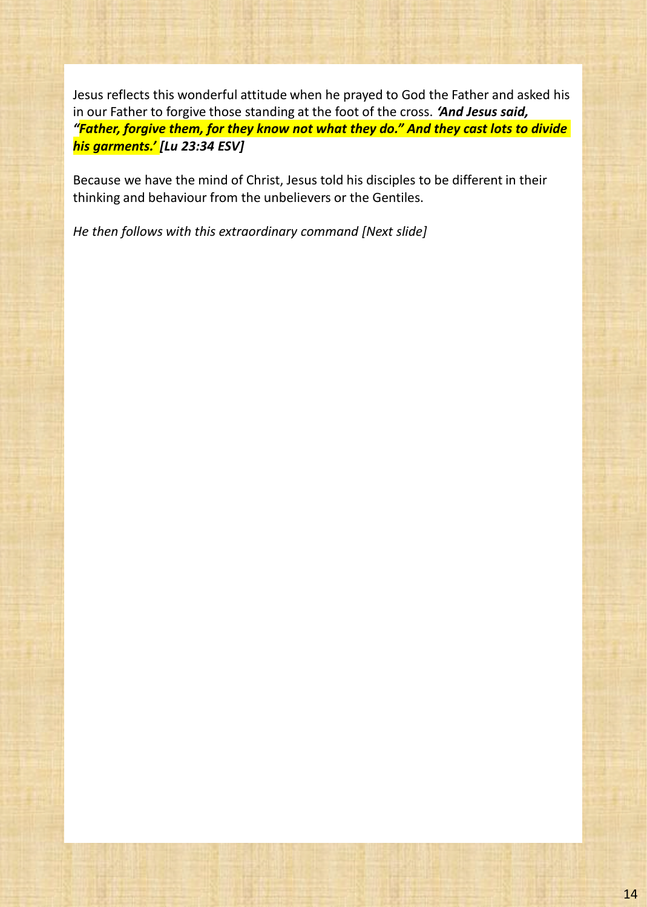Jesus reflects this wonderful attitude when he prayed to God the Father and asked his in our Father to forgive those standing at the foot of the cross. *'And Jesus said, "Father, forgive them, for they know not what they do." And they cast lots to divide his garments.' [Lu 23:34 ESV]*

Because we have the mind of Christ, Jesus told his disciples to be different in their thinking and behaviour from the unbelievers or the Gentiles.

*He then follows with this extraordinary command [Next slide]*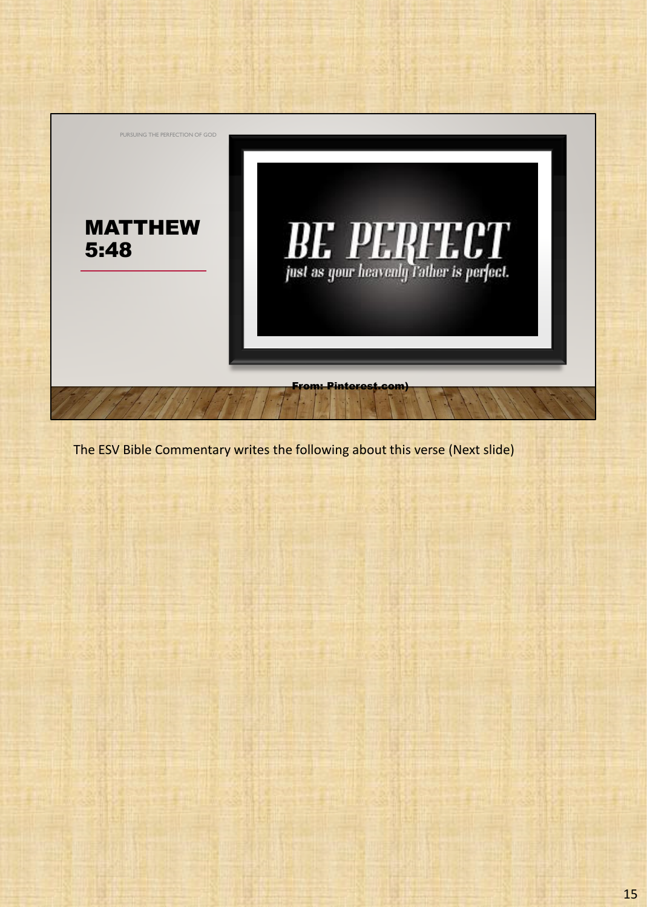

The ESV Bible Commentary writes the following about this verse (Next slide)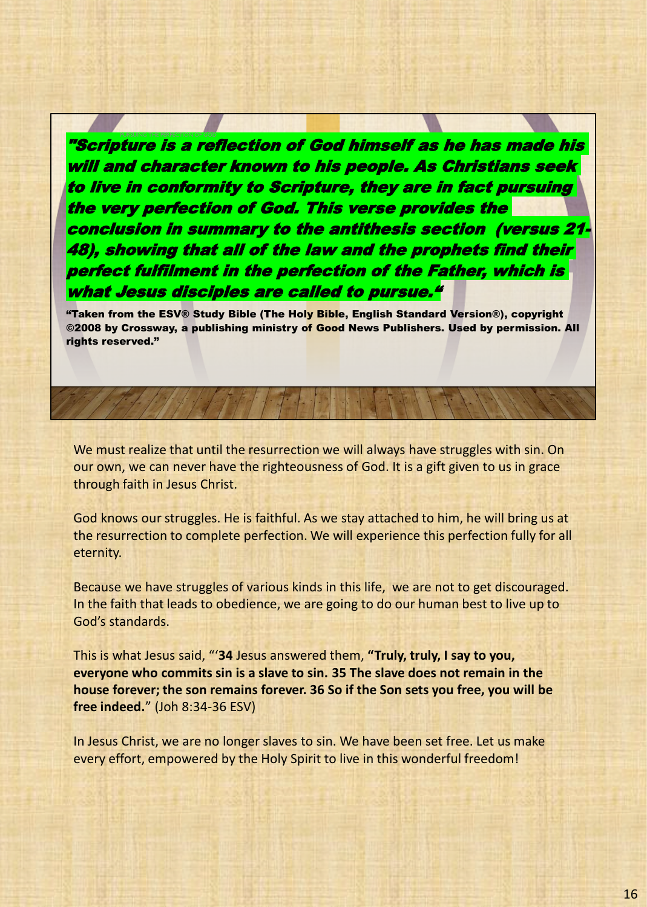"Scripture is a reflection of God himself as he has made his will and character known to his people. As Christians seek to live in conformity to Scripture, they are in fact pursuing the very perfection of God. This verse provides the conclusion in summary to the antithesis section (versus 21- 48), showing that all of the law and the prophets find their perfect fulfilment in the perfection of the Father, which is what Jesus disciples are called to pursue.<sup>"</sup>

"Taken from the ESV® Study Bible (The Holy Bible, English Standard Version®), copyright ©2008 by Crossway, a publishing ministry of Good News Publishers. Used by permission. All rights reserved."

We must realize that until the resurrection we will always have struggles with sin. On our own, we can never have the righteousness of God. It is a gift given to us in grace through faith in Jesus Christ.

God knows our struggles. He is faithful. As we stay attached to him, he will bring us at the resurrection to complete perfection. We will experience this perfection fully for all eternity.

Because we have struggles of various kinds in this life, we are not to get discouraged. In the faith that leads to obedience, we are going to do our human best to live up to God's standards.

This is what Jesus said, "'**34** Jesus answered them, **"Truly, truly, I say to you, everyone who commits sin is a slave to sin. 35 The slave does not remain in the house forever; the son remains forever. 36 So if the Son sets you free, you will be free indeed.**" (Joh 8:34-36 ESV)

In Jesus Christ, we are no longer slaves to sin. We have been set free. Let us make every effort, empowered by the Holy Spirit to live in this wonderful freedom!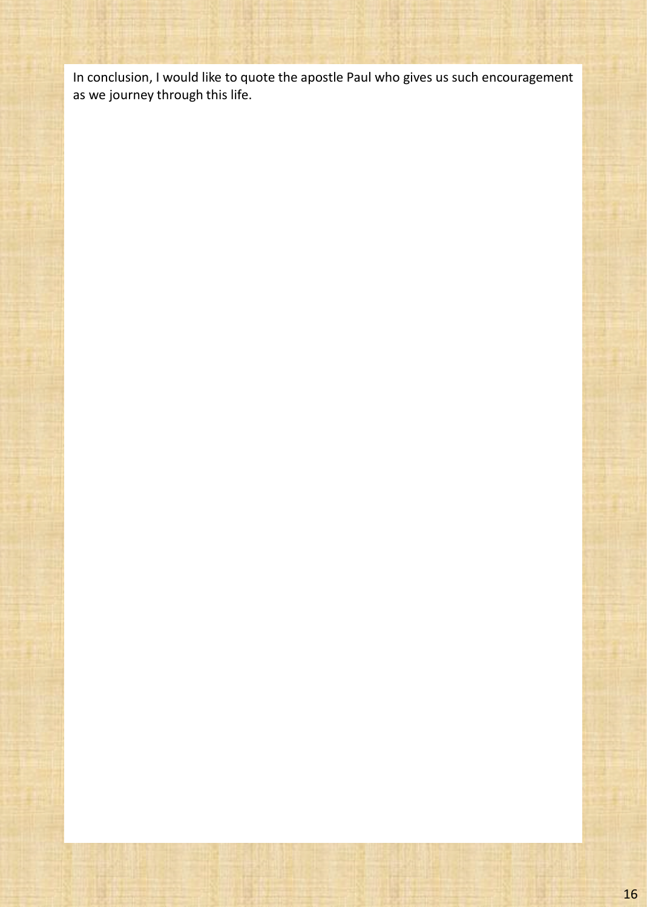In conclusion, I would like to quote the apostle Paul who gives us such encouragement as we journey through this life.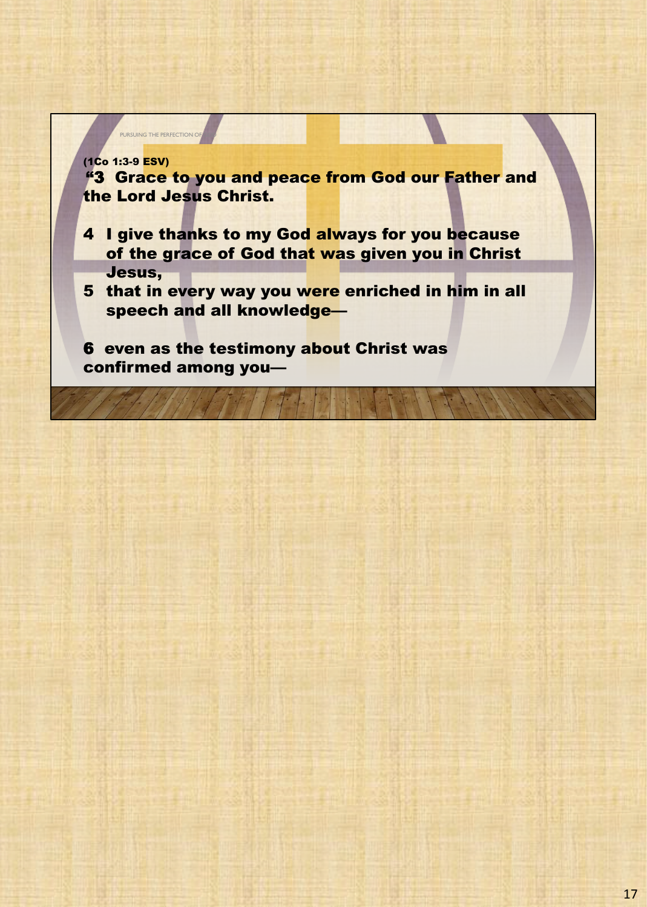